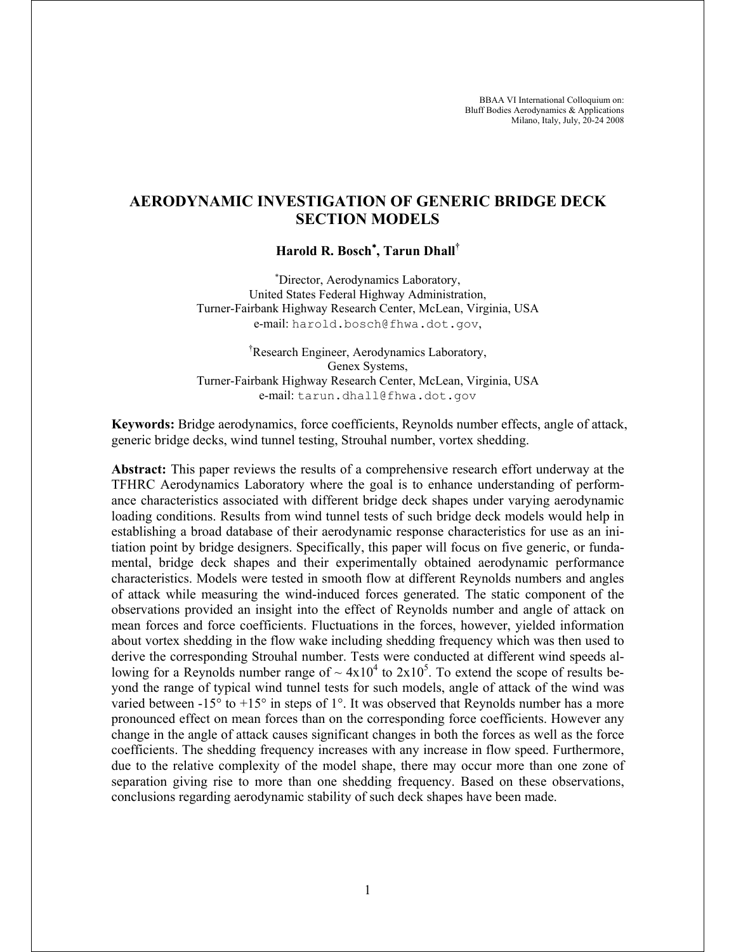# **AERODYNAMIC INVESTIGATION OF GENERIC BRIDGE DECK SECTION MODELS**

## **Harold R. Bosch**<sup>∗</sup> **, Tarun Dhall†**

∗ Director, Aerodynamics Laboratory, United States Federal Highway Administration, Turner-Fairbank Highway Research Center, McLean, Virginia, USA e-mail: harold.bosch@fhwa.dot.gov,

† Research Engineer, Aerodynamics Laboratory, Genex Systems, Turner-Fairbank Highway Research Center, McLean, Virginia, USA e-mail: tarun.dhall@fhwa.dot.gov

**Keywords:** Bridge aerodynamics, force coefficients, Reynolds number effects, angle of attack, generic bridge decks, wind tunnel testing, Strouhal number, vortex shedding.

**Abstract:** This paper reviews the results of a comprehensive research effort underway at the TFHRC Aerodynamics Laboratory where the goal is to enhance understanding of performance characteristics associated with different bridge deck shapes under varying aerodynamic loading conditions. Results from wind tunnel tests of such bridge deck models would help in establishing a broad database of their aerodynamic response characteristics for use as an initiation point by bridge designers. Specifically, this paper will focus on five generic, or fundamental, bridge deck shapes and their experimentally obtained aerodynamic performance characteristics. Models were tested in smooth flow at different Reynolds numbers and angles of attack while measuring the wind-induced forces generated. The static component of the observations provided an insight into the effect of Reynolds number and angle of attack on mean forces and force coefficients. Fluctuations in the forces, however, yielded information about vortex shedding in the flow wake including shedding frequency which was then used to derive the corresponding Strouhal number. Tests were conducted at different wind speeds allowing for a Reynolds number range of  $\sim 4 \times 10^4$  to  $2 \times 10^5$ . To extend the scope of results beyond the range of typical wind tunnel tests for such models, angle of attack of the wind was varied between  $-15^{\circ}$  to  $+15^{\circ}$  in steps of 1°. It was observed that Reynolds number has a more pronounced effect on mean forces than on the corresponding force coefficients. However any change in the angle of attack causes significant changes in both the forces as well as the force coefficients. The shedding frequency increases with any increase in flow speed. Furthermore, due to the relative complexity of the model shape, there may occur more than one zone of separation giving rise to more than one shedding frequency. Based on these observations, conclusions regarding aerodynamic stability of such deck shapes have been made.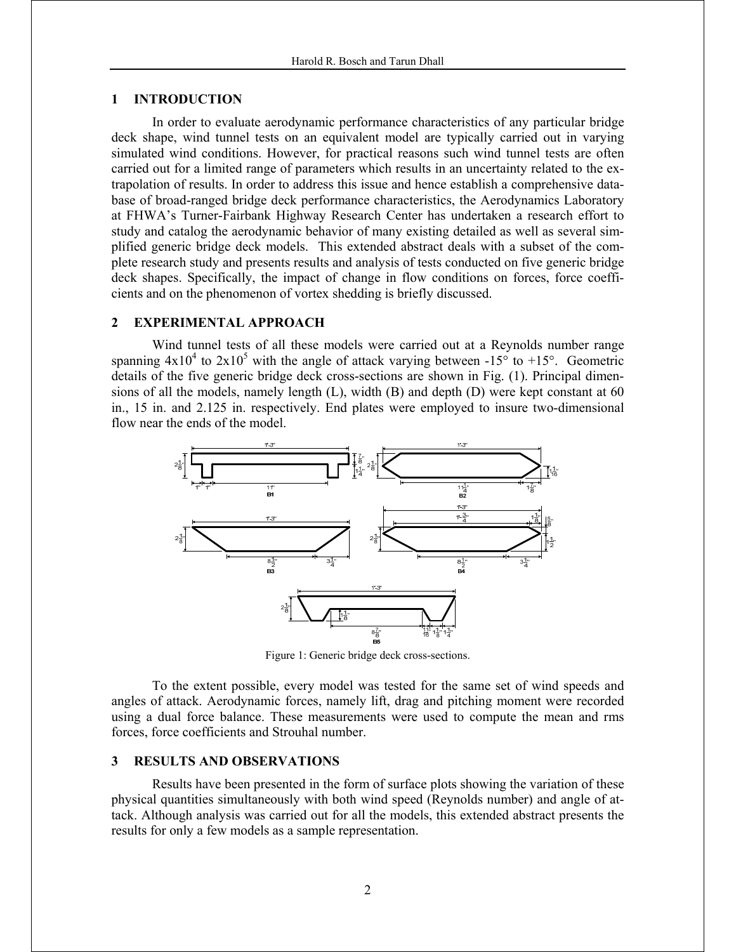### **1 INTRODUCTION**

In order to evaluate aerodynamic performance characteristics of any particular bridge deck shape, wind tunnel tests on an equivalent model are typically carried out in varying simulated wind conditions. However, for practical reasons such wind tunnel tests are often carried out for a limited range of parameters which results in an uncertainty related to the extrapolation of results. In order to address this issue and hence establish a comprehensive database of broad-ranged bridge deck performance characteristics, the Aerodynamics Laboratory at FHWA's Turner-Fairbank Highway Research Center has undertaken a research effort to study and catalog the aerodynamic behavior of many existing detailed as well as several simplified generic bridge deck models. This extended abstract deals with a subset of the complete research study and presents results and analysis of tests conducted on five generic bridge deck shapes. Specifically, the impact of change in flow conditions on forces, force coefficients and on the phenomenon of vortex shedding is briefly discussed.

#### **2 EXPERIMENTAL APPROACH**

 Wind tunnel tests of all these models were carried out at a Reynolds number range spanning  $4x10^4$  to  $2x10^5$  with the angle of attack varying between -15° to +15°. Geometric details of the five generic bridge deck cross-sections are shown in Fig. (1). Principal dimensions of all the models, namely length (L), width (B) and depth (D) were kept constant at 60 in., 15 in. and 2.125 in. respectively. End plates were employed to insure two-dimensional flow near the ends of the model.



Figure 1: Generic bridge deck cross-sections.

To the extent possible, every model was tested for the same set of wind speeds and angles of attack. Aerodynamic forces, namely lift, drag and pitching moment were recorded using a dual force balance. These measurements were used to compute the mean and rms forces, force coefficients and Strouhal number.

#### **3 RESULTS AND OBSERVATIONS**

Results have been presented in the form of surface plots showing the variation of these physical quantities simultaneously with both wind speed (Reynolds number) and angle of attack. Although analysis was carried out for all the models, this extended abstract presents the results for only a few models as a sample representation.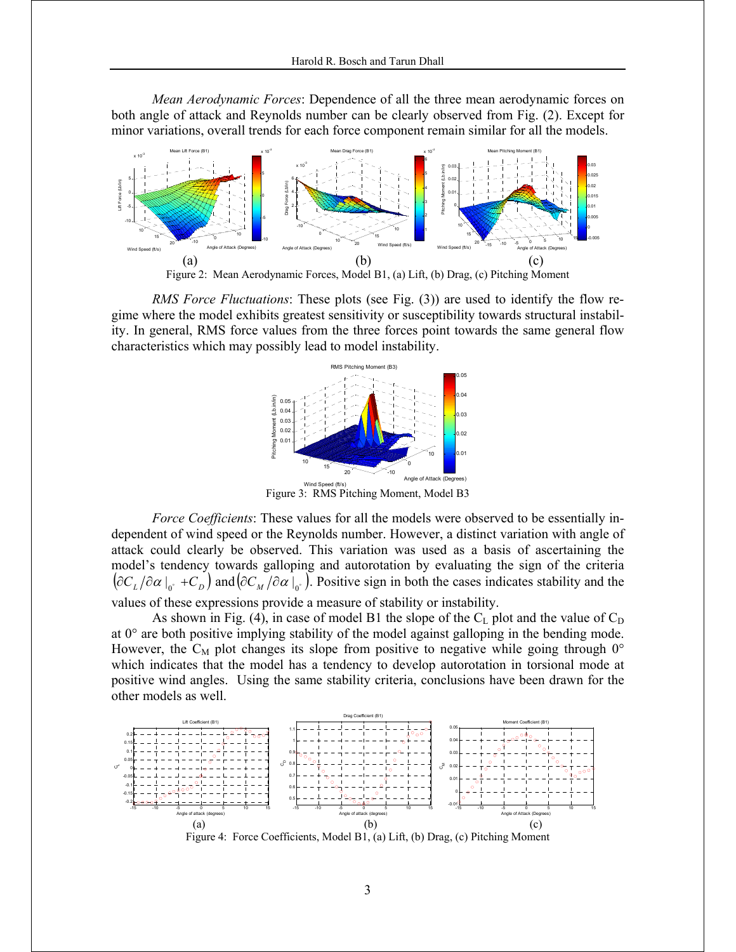*Mean Aerodynamic Forces*: Dependence of all the three mean aerodynamic forces on both angle of attack and Reynolds number can be clearly observed from Fig. (2). Except for minor variations, overall trends for each force component remain similar for all the models.



Figure 2: Mean Aerodynamic Forces, Model B1, (a) Lift, (b) Drag, (c) Pitching Moment

*RMS Force Fluctuations:* These plots (see Fig. (3)) are used to identify the flow regime where the model exhibits greatest sensitivity or susceptibility towards structural instability. In general, RMS force values from the three forces point towards the same general flow characteristics which may possibly lead to model instability.



Figure 3: RMS Pitching Moment, Model B3

*Force Coefficients*: These values for all the models were observed to be essentially independent of wind speed or the Reynolds number. However, a distinct variation with angle of attack could clearly be observed. This variation was used as a basis of ascertaining the model's tendency towards galloping and autorotation by evaluating the sign of the criteria  $\left({\partial C_L}/{\partial \alpha}\right)_{\alpha}$  +*C<sub>D</sub>* and  $\left({\partial C_M}/{\partial \alpha}\right)_{\alpha}$ . Positive sign in both the cases indicates stability and the values of these expressions provide a measure of stability or instability.

As shown in Fig. (4), in case of model B1 the slope of the  $C_L$  plot and the value of  $C_D$ at  $0^{\circ}$  are both positive implying stability of the model against galloping in the bending mode. However, the C<sub>M</sub> plot changes its slope from positive to negative while going through  $0^{\circ}$ which indicates that the model has a tendency to develop autorotation in torsional mode at positive wind angles. Using the same stability criteria, conclusions have been drawn for the other models as well.



Figure 4: Force Coefficients, Model B1, (a) Lift, (b) Drag, (c) Pitching Moment